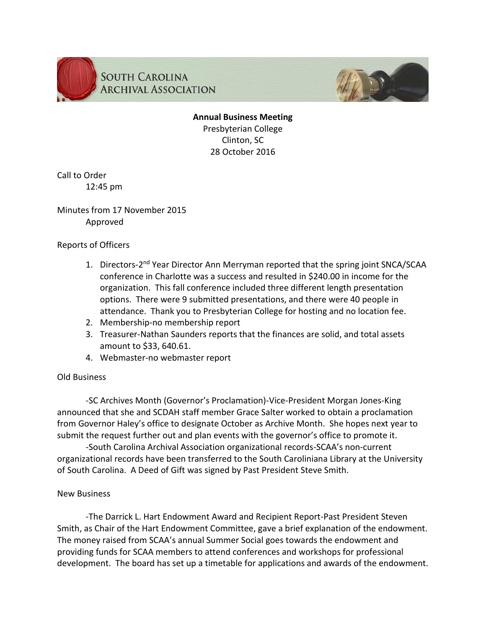

**SOUTH CAROLINA ARCHIVAL ASSOCIATION** 



**Annual Business Meeting** Presbyterian College Clinton, SC 28 October 2016

Call to Order 12:45 pm

# Minutes from 17 November 2015 Approved

## Reports of Officers

- 1. Directors-2<sup>nd</sup> Year Director Ann Merryman reported that the spring joint SNCA/SCAA conference in Charlotte was a success and resulted in \$240.00 in income for the organization. This fall conference included three different length presentation options. There were 9 submitted presentations, and there were 40 people in attendance. Thank you to Presbyterian College for hosting and no location fee.
- 2. Membership-no membership report
- 3. Treasurer-Nathan Saunders reports that the finances are solid, and total assets amount to \$33, 640.61.
- 4. Webmaster-no webmaster report

#### Old Business

-SC Archives Month (Governor's Proclamation)-Vice-President Morgan Jones-King announced that she and SCDAH staff member Grace Salter worked to obtain a proclamation from Governor Haley's office to designate October as Archive Month. She hopes next year to submit the request further out and plan events with the governor's office to promote it.

-South Carolina Archival Association organizational records-SCAA's non-current organizational records have been transferred to the South Caroliniana Library at the University of South Carolina. A Deed of Gift was signed by Past President Steve Smith.

#### New Business

-The Darrick L. Hart Endowment Award and Recipient Report-Past President Steven Smith, as Chair of the Hart Endowment Committee, gave a brief explanation of the endowment. The money raised from SCAA's annual Summer Social goes towards the endowment and providing funds for SCAA members to attend conferences and workshops for professional development. The board has set up a timetable for applications and awards of the endowment.